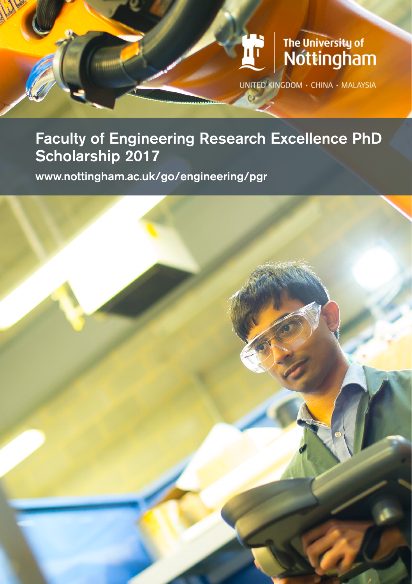# The University of<br>Nottingham UNITED KINGDOM · CHINA · MALAYSIA

### Faculty of Engineering Research Excellence PhD Scholarship 2017

www.nottingham.ac.uk/go/engineering/pgr